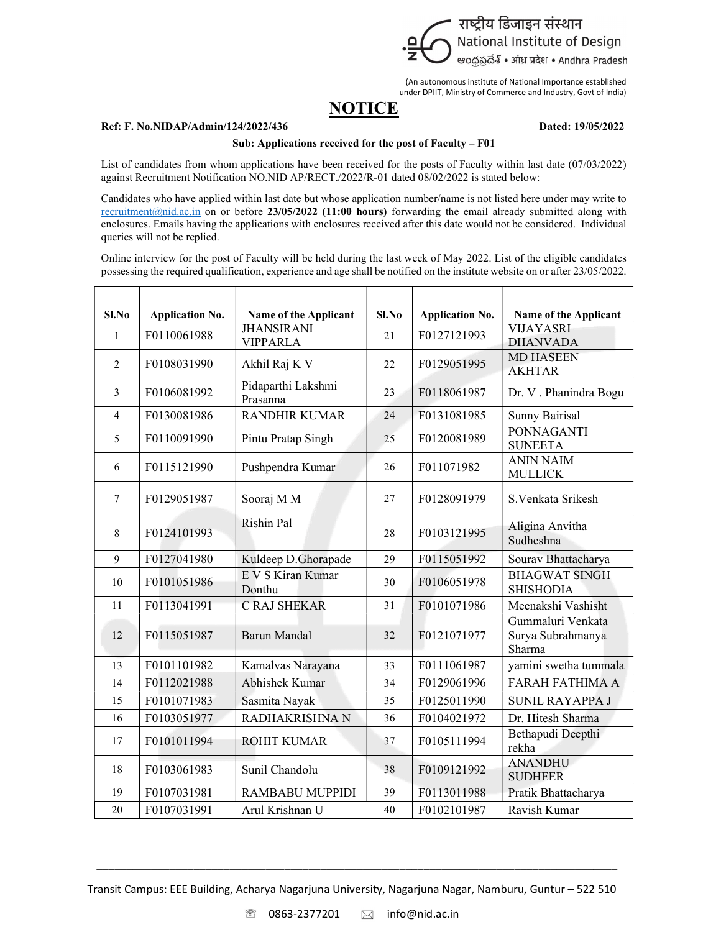

(An autonomous institute of National Importance established under DPIIT, Ministry of Commerce and Industry, Govt of India)

## **NOTICE**

## Ref: F. No.NIDAP/Admin/124/2022/436 Dated: 19/05/2022

## Sub: Applications received for the post of Faculty – F01

List of candidates from whom applications have been received for the posts of Faculty within last date (07/03/2022) against Recruitment Notification NO.NID AP/RECT./2022/R-01 dated 08/02/2022 is stated below:

Candidates who have applied within last date but whose application number/name is not listed here under may write to recruitment@nid.ac.in on or before 23/05/2022 (11:00 hours) forwarding the email already submitted along with enclosures. Emails having the applications with enclosures received after this date would not be considered. Individual queries will not be replied.

Online interview for the post of Faculty will be held during the last week of May 2022. List of the eligible candidates possessing the required qualification, experience and age shall be notified on the institute website on or after 23/05/2022.

| Sl.No          | <b>Application No.</b> | Name of the Applicant                | Sl.No | <b>Application No.</b> | <b>Name of the Applicant</b>                     |
|----------------|------------------------|--------------------------------------|-------|------------------------|--------------------------------------------------|
| $\mathbf{1}$   | F0110061988            | <b>JHANSIRANI</b><br><b>VIPPARLA</b> | 21    | F0127121993            | <b>VIJAYASRI</b><br><b>DHANVADA</b>              |
| $\overline{2}$ | F0108031990            | Akhil Raj K V                        | 22    | F0129051995            | <b>MD HASEEN</b><br><b>AKHTAR</b>                |
| 3              | F0106081992            | Pidaparthi Lakshmi<br>Prasanna       | 23    | F0118061987            | Dr. V. Phanindra Bogu                            |
| 4              | F0130081986            | <b>RANDHIR KUMAR</b>                 | 24    | F0131081985            | Sunny Bairisal                                   |
| 5              | F0110091990            | Pintu Pratap Singh                   | 25    | F0120081989            | <b>PONNAGANTI</b><br><b>SUNEETA</b>              |
| 6              | F0115121990            | Pushpendra Kumar                     | 26    | F011071982             | <b>ANIN NAIM</b><br><b>MULLICK</b>               |
| 7              | F0129051987            | Sooraj M M                           | 27    | F0128091979            | S.Venkata Srikesh                                |
| 8              | F0124101993            | Rishin Pal                           | 28    | F0103121995            | Aligina Anvitha<br>Sudheshna                     |
| 9              | F0127041980            | Kuldeep D.Ghorapade                  | 29    | F0115051992            | Sourav Bhattacharya                              |
| 10             | F0101051986            | E V S Kiran Kumar<br>Donthu          | 30    | F0106051978            | <b>BHAGWAT SINGH</b><br><b>SHISHODIA</b>         |
| 11             | F0113041991            | C RAJ SHEKAR                         | 31    | F0101071986            | Meenakshi Vashisht                               |
| 12             | F0115051987            | Barun Mandal                         | 32    | F0121071977            | Gummaluri Venkata<br>Surya Subrahmanya<br>Sharma |
| 13             | F0101101982            | Kamalvas Narayana                    | 33    | F0111061987            | yamini swetha tummala                            |
| 14             | F0112021988            | Abhishek Kumar                       | 34    | F0129061996            | <b>FARAH FATHIMA A</b>                           |
| 15             | F0101071983            | Sasmita Nayak                        | 35    | F0125011990            | <b>SUNIL RAYAPPA J</b>                           |
| 16             | F0103051977            | <b>RADHAKRISHNA N</b>                | 36    | F0104021972            | Dr. Hitesh Sharma                                |
| 17             | F0101011994            | <b>ROHIT KUMAR</b>                   | 37    | F0105111994            | Bethapudi Deepthi<br>rekha                       |
| 18             | F0103061983            | Sunil Chandolu                       | 38    | F0109121992            | <b>ANANDHU</b><br><b>SUDHEER</b>                 |
| 19             | F0107031981            | <b>RAMBABU MUPPIDI</b>               | 39    | F0113011988            | Pratik Bhattacharya                              |
| 20             | F0107031991            | Arul Krishnan U                      | 40    | F0102101987            | Ravish Kumar                                     |

Transit Campus: EEE Building, Acharya Nagarjuna University, Nagarjuna Nagar, Namburu, Guntur – 522 510

 $\frac{1}{2}$  ,  $\frac{1}{2}$  ,  $\frac{1}{2}$  ,  $\frac{1}{2}$  ,  $\frac{1}{2}$  ,  $\frac{1}{2}$  ,  $\frac{1}{2}$  ,  $\frac{1}{2}$  ,  $\frac{1}{2}$  ,  $\frac{1}{2}$  ,  $\frac{1}{2}$  ,  $\frac{1}{2}$  ,  $\frac{1}{2}$  ,  $\frac{1}{2}$  ,  $\frac{1}{2}$  ,  $\frac{1}{2}$  ,  $\frac{1}{2}$  ,  $\frac{1}{2}$  ,  $\frac{1$